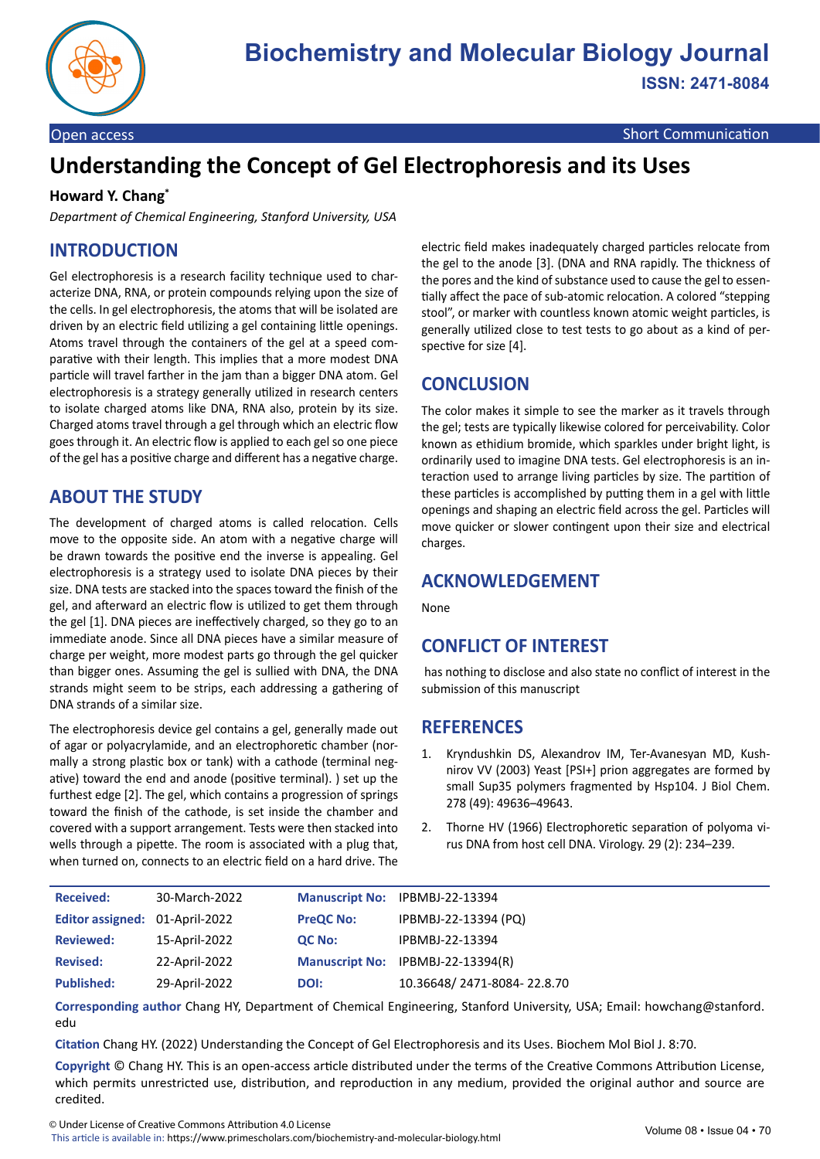

Open access Short Communication Communication Communication Communication

# **Understanding the Concept of Gel Electrophoresis and its Uses**

#### **Howard Y. Chang\***

*Department of Chemical Engineering, Stanford University, USA*

# **INTRODUCTION**

Gel electrophoresis is a research facility technique used to characterize DNA, RNA, or protein compounds relying upon the size of the cells. In gel electrophoresis, the atoms that will be isolated are driven by an electric field utilizing a gel containing little openings. Atoms travel through the containers of the gel at a speed comparative with their length. This implies that a more modest DNA particle will travel farther in the jam than a bigger DNA atom. Gel electrophoresis is a strategy generally utilized in research centers to isolate charged atoms like DNA, RNA also, protein by its size. Charged atoms travel through a gel through which an electric flow goes through it. An electric flow is applied to each gel so one piece of the gel has a positive charge and different has a negative charge.

### **ABOUT THE STUDY**

The development of charged atoms is called relocation. Cells move to the opposite side. An atom with a negative charge will be drawn towards the positive end the inverse is appealing. Gel electrophoresis is a strategy used to isolate DNA pieces by their size. DNA tests are stacked into the spaces toward the finish of the gel, and afterward an electric flow is utilized to get them through the gel [1]. DNA pieces are ineffectively charged, so they go to an immediate anode. Since all DNA pieces have a similar measure of charge per weight, more modest parts go through the gel quicker than bigger ones. Assuming the gel is sullied with DNA, the DNA strands might seem to be strips, each addressing a gathering of DNA strands of a similar size.

The electrophoresis device gel contains a gel, generally made out of agar or polyacrylamide, and an electrophoretic chamber (normally a strong plastic box or tank) with a cathode (terminal negative) toward the end and anode (positive terminal). ) set up the furthest edge [2]. The gel, which contains a progression of springs toward the finish of the cathode, is set inside the chamber and covered with a support arrangement. Tests were then stacked into wells through a pipette. The room is associated with a plug that, when turned on, connects to an electric field on a hard drive. The

electric field makes inadequately charged particles relocate from the gel to the anode [3]. (DNA and RNA rapidly. The thickness of the pores and the kind of substance used to cause the gel to essentially affect the pace of sub-atomic relocation. A colored "stepping stool", or marker with countless known atomic weight particles, is generally utilized close to test tests to go about as a kind of perspective for size [4].

### **CONCLUSION**

The color makes it simple to see the marker as it travels through the gel; tests are typically likewise colored for perceivability. Color known as ethidium bromide, which sparkles under bright light, is ordinarily used to imagine DNA tests. Gel electrophoresis is an interaction used to arrange living particles by size. The partition of these particles is accomplished by putting them in a gel with little openings and shaping an electric field across the gel. Particles will move quicker or slower contingent upon their size and electrical charges.

#### **ACKNOWLEDGEMENT**

None

## **CONFLICT OF INTEREST**

 has nothing to disclose and also state no conflict of interest in the submission of this manuscript

#### **REFERENCES**

- 1. Kryndushkin DS, Alexandrov IM, Ter-Avanesyan MD, Kushnirov VV (2003) [Yeast \[PSI+\] prion aggregates are formed by](https://pubmed.ncbi.nlm.nih.gov/14507919/) [small Sup35 polymers f](https://pubmed.ncbi.nlm.nih.gov/14507919/)ragmented by Hsp104. J Biol Chem. 278 (49): 49636–49643.
- 2. Thorne HV (1966) [Electrophoretic separation of polyoma vi](https://pubmed.ncbi.nlm.nih.gov/4287545/)[rus DNA from host cell DN](https://pubmed.ncbi.nlm.nih.gov/4287545/)A. Virology. 29 (2): 234–239.

| <b>Received:</b>               | 30-March-2022 |                  | Manuscript No: IPBMBJ-22-13394    |
|--------------------------------|---------------|------------------|-----------------------------------|
| Editor assigned: 01-April-2022 |               | <b>PreQC No:</b> | IPBMBJ-22-13394 (PQ)              |
| <b>Reviewed:</b>               | 15-April-2022 | QC No:           | IPBMBJ-22-13394                   |
| <b>Revised:</b>                | 22-April-2022 |                  | Manuscript No: IPBMBJ-22-13394(R) |
| <b>Published:</b>              | 29-April-2022 | DOI:             | 10.36648/2471-8084-22.8.70        |

**Corresponding author** Chang HY, Department of Chemical Engineering, Stanford University, USA; Email: howchang@stanford. edu

**Citation** Chang HY. (2022) Understanding the Concept of Gel Electrophoresis and its Uses. Biochem Mol Biol J. 8:70.

**Copyright** © Chang HY. This is an open-access article distributed under the terms of the Creative Commons Attribution License, which permits unrestricted use, distribution, and reproduction in any medium, provided the original author and source are credited.